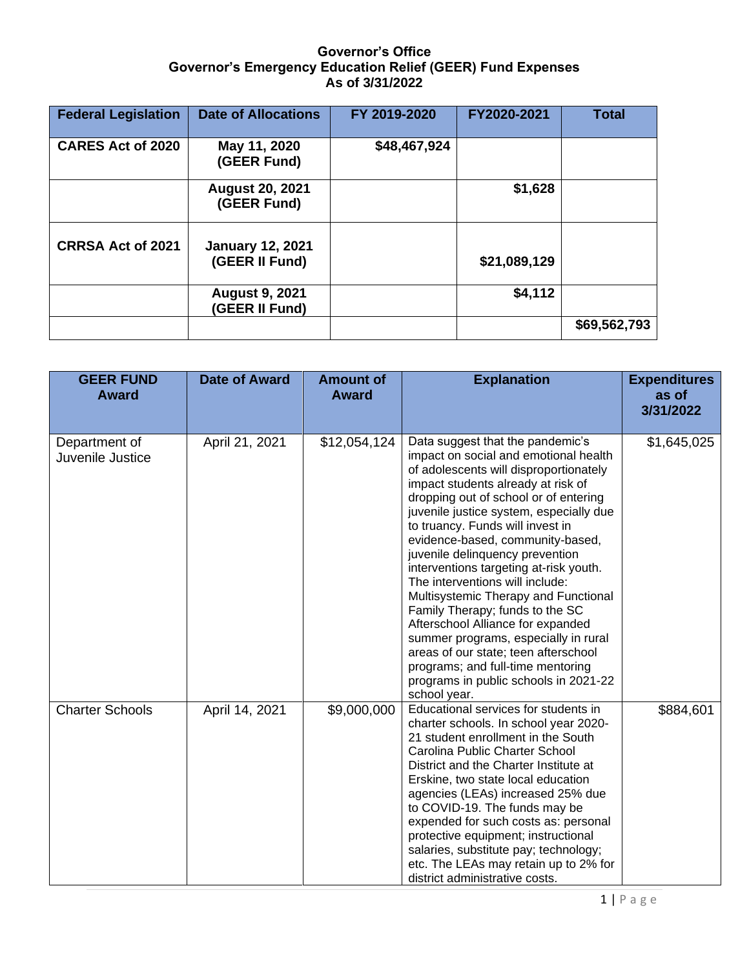## **Governor's Office Governor's Emergency Education Relief (GEER) Fund Expenses As of 3/31/2022**

| <b>Federal Legislation</b> | <b>Date of Allocations</b>                | FY 2019-2020 | FY2020-2021  | <b>Total</b> |
|----------------------------|-------------------------------------------|--------------|--------------|--------------|
| <b>CARES Act of 2020</b>   | May 11, 2020<br>(GEER Fund)               | \$48,467,924 |              |              |
|                            | <b>August 20, 2021</b><br>(GEER Fund)     |              | \$1,628      |              |
| <b>CRRSA Act of 2021</b>   | <b>January 12, 2021</b><br>(GEER II Fund) |              | \$21,089,129 |              |
|                            | <b>August 9, 2021</b><br>(GEER II Fund)   |              | \$4,112      |              |
|                            |                                           |              |              | \$69,562,793 |

| <b>GEER FUND</b><br><b>Award</b>  | <b>Date of Award</b> | <b>Amount of</b><br><b>Award</b> | <b>Explanation</b>                                                                                                                                                                                                                                                                                                                                                                                                                                                                                                                                                                                                                                                                                                                  | <b>Expenditures</b><br>as of<br>3/31/2022 |
|-----------------------------------|----------------------|----------------------------------|-------------------------------------------------------------------------------------------------------------------------------------------------------------------------------------------------------------------------------------------------------------------------------------------------------------------------------------------------------------------------------------------------------------------------------------------------------------------------------------------------------------------------------------------------------------------------------------------------------------------------------------------------------------------------------------------------------------------------------------|-------------------------------------------|
| Department of<br>Juvenile Justice | April 21, 2021       | \$12,054,124                     | Data suggest that the pandemic's<br>impact on social and emotional health<br>of adolescents will disproportionately<br>impact students already at risk of<br>dropping out of school or of entering<br>juvenile justice system, especially due<br>to truancy. Funds will invest in<br>evidence-based, community-based,<br>juvenile delinquency prevention<br>interventions targeting at-risk youth.<br>The interventions will include:<br>Multisystemic Therapy and Functional<br>Family Therapy; funds to the SC<br>Afterschool Alliance for expanded<br>summer programs, especially in rural<br>areas of our state; teen afterschool<br>programs; and full-time mentoring<br>programs in public schools in 2021-22<br>school year. | \$1,645,025                               |
| <b>Charter Schools</b>            | April 14, 2021       | \$9,000,000                      | Educational services for students in<br>charter schools. In school year 2020-<br>21 student enrollment in the South<br>Carolina Public Charter School<br>District and the Charter Institute at<br>Erskine, two state local education<br>agencies (LEAs) increased 25% due<br>to COVID-19. The funds may be<br>expended for such costs as: personal<br>protective equipment; instructional<br>salaries, substitute pay; technology;<br>etc. The LEAs may retain up to 2% for<br>district administrative costs.                                                                                                                                                                                                                       | \$884,601                                 |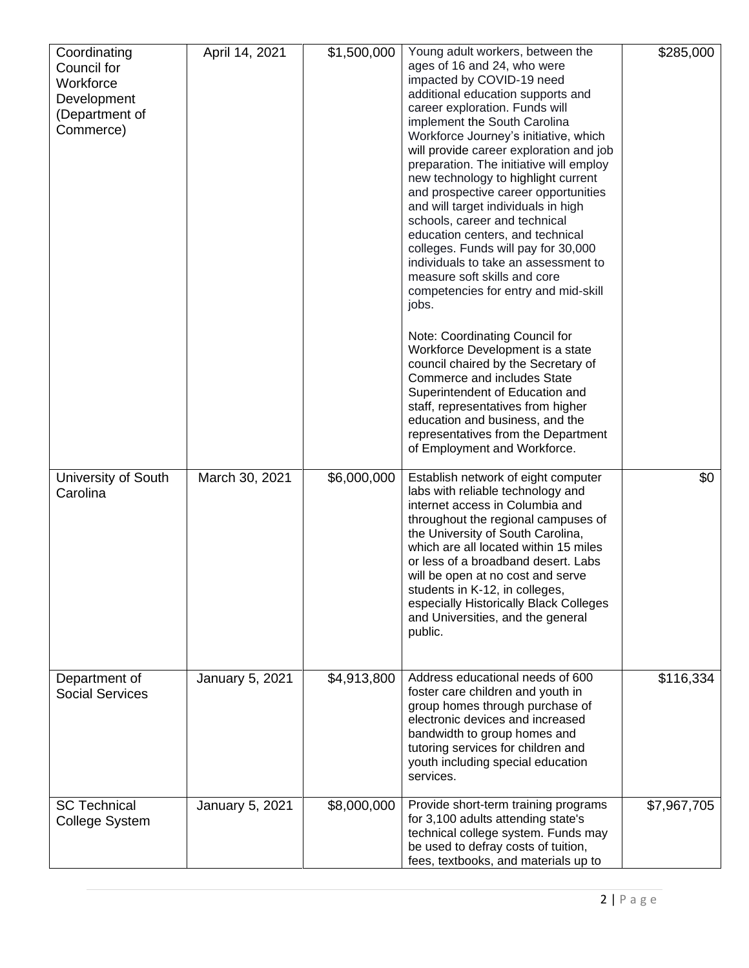| Coordinating<br>Council for<br>Workforce<br>Development<br>(Department of<br>Commerce) | April 14, 2021  | \$1,500,000 | Young adult workers, between the<br>ages of 16 and 24, who were<br>impacted by COVID-19 need<br>additional education supports and<br>career exploration. Funds will<br>implement the South Carolina<br>Workforce Journey's initiative, which<br>will provide career exploration and job<br>preparation. The initiative will employ<br>new technology to highlight current<br>and prospective career opportunities<br>and will target individuals in high<br>schools, career and technical<br>education centers, and technical<br>colleges. Funds will pay for 30,000<br>individuals to take an assessment to<br>measure soft skills and core<br>competencies for entry and mid-skill<br>jobs.<br>Note: Coordinating Council for<br>Workforce Development is a state<br>council chaired by the Secretary of<br>Commerce and includes State<br>Superintendent of Education and<br>staff, representatives from higher<br>education and business, and the<br>representatives from the Department<br>of Employment and Workforce. | \$285,000   |
|----------------------------------------------------------------------------------------|-----------------|-------------|------------------------------------------------------------------------------------------------------------------------------------------------------------------------------------------------------------------------------------------------------------------------------------------------------------------------------------------------------------------------------------------------------------------------------------------------------------------------------------------------------------------------------------------------------------------------------------------------------------------------------------------------------------------------------------------------------------------------------------------------------------------------------------------------------------------------------------------------------------------------------------------------------------------------------------------------------------------------------------------------------------------------------|-------------|
| University of South<br>Carolina                                                        | March 30, 2021  | \$6,000,000 | Establish network of eight computer<br>labs with reliable technology and<br>internet access in Columbia and<br>throughout the regional campuses of<br>the University of South Carolina,<br>which are all located within 15 miles<br>or less of a broadband desert. Labs<br>will be open at no cost and serve<br>students in K-12, in colleges,<br>especially Historically Black Colleges<br>and Universities, and the general<br>public.                                                                                                                                                                                                                                                                                                                                                                                                                                                                                                                                                                                     | \$0         |
| Department of<br><b>Social Services</b>                                                | January 5, 2021 | \$4,913,800 | Address educational needs of 600<br>foster care children and youth in<br>group homes through purchase of<br>electronic devices and increased<br>bandwidth to group homes and<br>tutoring services for children and<br>youth including special education<br>services.                                                                                                                                                                                                                                                                                                                                                                                                                                                                                                                                                                                                                                                                                                                                                         | \$116,334   |
| <b>SC Technical</b><br>College System                                                  | January 5, 2021 | \$8,000,000 | Provide short-term training programs<br>for 3,100 adults attending state's<br>technical college system. Funds may<br>be used to defray costs of tuition,<br>fees, textbooks, and materials up to                                                                                                                                                                                                                                                                                                                                                                                                                                                                                                                                                                                                                                                                                                                                                                                                                             | \$7,967,705 |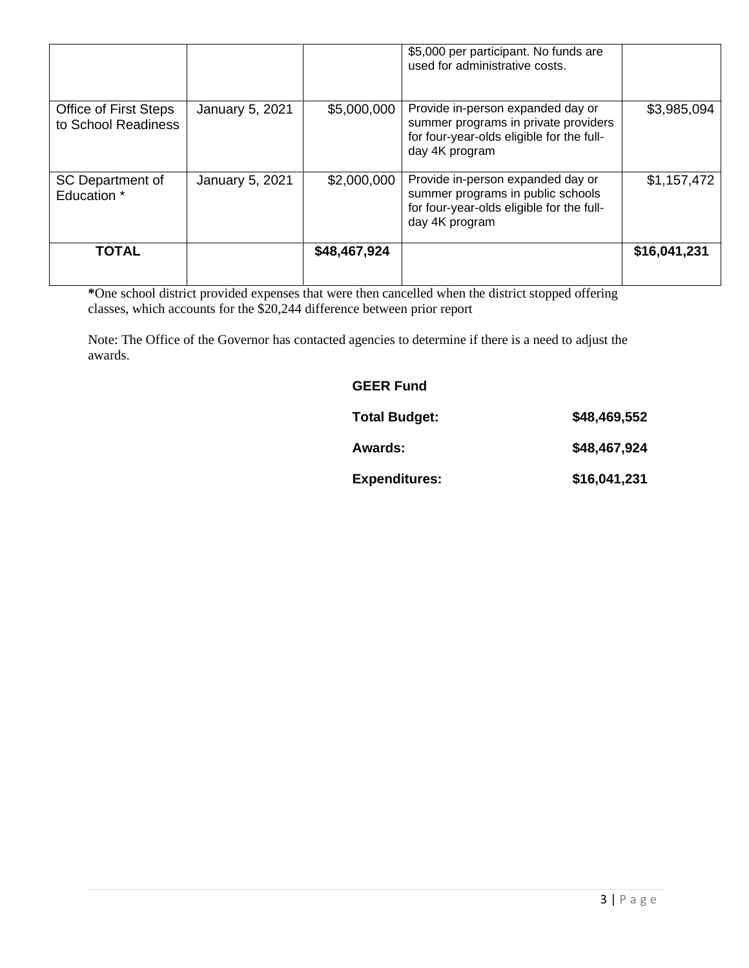|                                                     |                        |              | \$5,000 per participant. No funds are<br>used for administrative costs.                                                                  |              |
|-----------------------------------------------------|------------------------|--------------|------------------------------------------------------------------------------------------------------------------------------------------|--------------|
| <b>Office of First Steps</b><br>to School Readiness | <b>January 5, 2021</b> | \$5,000,000  | Provide in-person expanded day or<br>summer programs in private providers<br>for four-year-olds eligible for the full-<br>day 4K program | \$3,985,094  |
| SC Department of<br>Education *                     | January 5, 2021        | \$2,000,000  | Provide in-person expanded day or<br>summer programs in public schools<br>for four-year-olds eligible for the full-<br>day 4K program    | \$1,157,472  |
| <b>TOTAL</b>                                        |                        | \$48,467,924 |                                                                                                                                          | \$16,041,231 |

**\***One school district provided expenses that were then cancelled when the district stopped offering classes, which accounts for the \$20,244 difference between prior report

Note: The Office of the Governor has contacted agencies to determine if there is a need to adjust the awards.

## **GEER Fund Total Budget: \$48,469,552 Awards: \$48,467,924 Expenditures: \$16,041,231**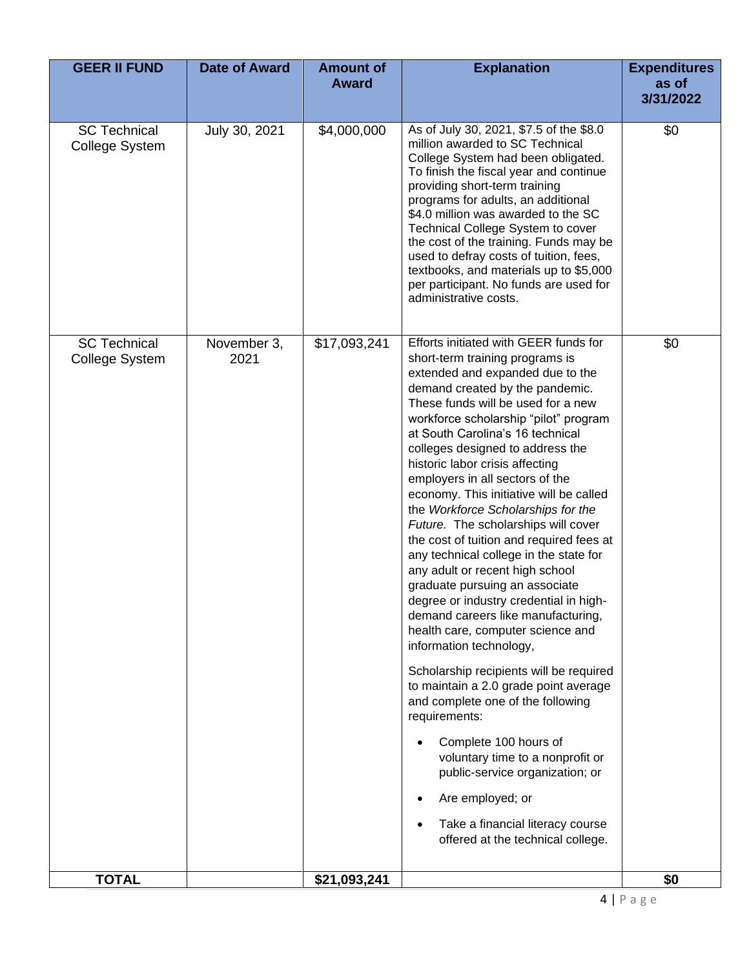| <b>GEER II FUND</b>                          | <b>Date of Award</b> | <b>Amount of</b><br><b>Award</b> | <b>Explanation</b>                                                                                                                                                                                                                                                                                                                                                                                                                                                                                                                                                                                                                                                                                                                                                                                                                                                                                                                                                                                                                                                                                                                                     | <b>Expenditures</b><br>as of<br>3/31/2022 |
|----------------------------------------------|----------------------|----------------------------------|--------------------------------------------------------------------------------------------------------------------------------------------------------------------------------------------------------------------------------------------------------------------------------------------------------------------------------------------------------------------------------------------------------------------------------------------------------------------------------------------------------------------------------------------------------------------------------------------------------------------------------------------------------------------------------------------------------------------------------------------------------------------------------------------------------------------------------------------------------------------------------------------------------------------------------------------------------------------------------------------------------------------------------------------------------------------------------------------------------------------------------------------------------|-------------------------------------------|
| <b>SC Technical</b><br>College System        | July 30, 2021        | \$4,000,000                      | As of July 30, 2021, \$7.5 of the \$8.0<br>million awarded to SC Technical<br>College System had been obligated.<br>To finish the fiscal year and continue<br>providing short-term training<br>programs for adults, an additional<br>\$4.0 million was awarded to the SC<br>Technical College System to cover<br>the cost of the training. Funds may be<br>used to defray costs of tuition, fees,<br>textbooks, and materials up to \$5,000<br>per participant. No funds are used for<br>administrative costs.                                                                                                                                                                                                                                                                                                                                                                                                                                                                                                                                                                                                                                         | \$0                                       |
| <b>SC Technical</b><br><b>College System</b> | November 3,<br>2021  | \$17,093,241                     | Efforts initiated with GEER funds for<br>short-term training programs is<br>extended and expanded due to the<br>demand created by the pandemic.<br>These funds will be used for a new<br>workforce scholarship "pilot" program<br>at South Carolina's 16 technical<br>colleges designed to address the<br>historic labor crisis affecting<br>employers in all sectors of the<br>economy. This initiative will be called<br>the Workforce Scholarships for the<br>Future. The scholarships will cover<br>the cost of tuition and required fees at<br>any technical college in the state for<br>any adult or recent high school<br>graduate pursuing an associate<br>degree or industry credential in high-<br>demand careers like manufacturing,<br>health care, computer science and<br>information technology,<br>Scholarship recipients will be required<br>to maintain a 2.0 grade point average<br>and complete one of the following<br>requirements:<br>Complete 100 hours of<br>voluntary time to a nonprofit or<br>public-service organization; or<br>Are employed; or<br>Take a financial literacy course<br>offered at the technical college. | \$0                                       |
| <b>TOTAL</b>                                 |                      | \$21,093,241                     |                                                                                                                                                                                                                                                                                                                                                                                                                                                                                                                                                                                                                                                                                                                                                                                                                                                                                                                                                                                                                                                                                                                                                        | \$0                                       |